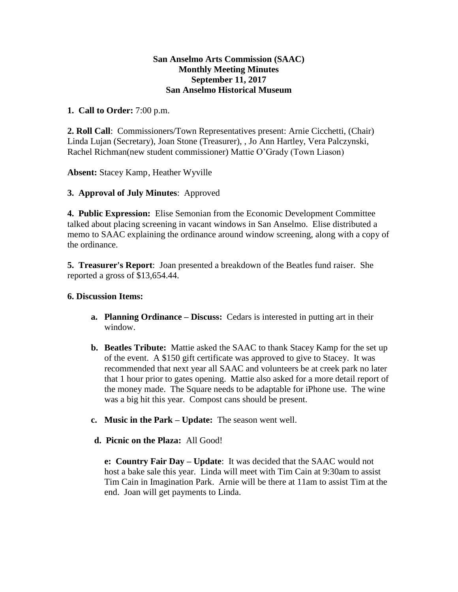## **San Anselmo Arts Commission (SAAC) Monthly Meeting Minutes September 11, 2017 San Anselmo Historical Museum**

## **1. Call to Order:** 7:00 p.m.

**2. Roll Call**: Commissioners/Town Representatives present: Arnie Cicchetti, (Chair) Linda Lujan (Secretary), Joan Stone (Treasurer), , Jo Ann Hartley, Vera Palczynski, Rachel Richman(new student commissioner) Mattie O'Grady (Town Liason)

**Absent:** Stacey Kamp, Heather Wyville

**3. Approval of July Minutes**: Approved

**4. Public Expression:** Elise Semonian from the Economic Development Committee talked about placing screening in vacant windows in San Anselmo. Elise distributed a memo to SAAC explaining the ordinance around window screening, along with a copy of the ordinance.

**5. Treasurer's Report**: Joan presented a breakdown of the Beatles fund raiser. She reported a gross of \$13,654.44.

## **6. Discussion Items:**

- **a. Planning Ordinance – Discuss:** Cedars is interested in putting art in their window.
- **b. Beatles Tribute:** Mattie asked the SAAC to thank Stacey Kamp for the set up of the event. A \$150 gift certificate was approved to give to Stacey. It was recommended that next year all SAAC and volunteers be at creek park no later that 1 hour prior to gates opening. Mattie also asked for a more detail report of the money made. The Square needs to be adaptable for iPhone use. The wine was a big hit this year. Compost cans should be present.
- **c. Music in the Park – Update:** The season went well.
- **d. Picnic on the Plaza:** All Good!

**e: Country Fair Day – Update**: It was decided that the SAAC would not host a bake sale this year. Linda will meet with Tim Cain at 9:30am to assist Tim Cain in Imagination Park. Arnie will be there at 11am to assist Tim at the end. Joan will get payments to Linda.